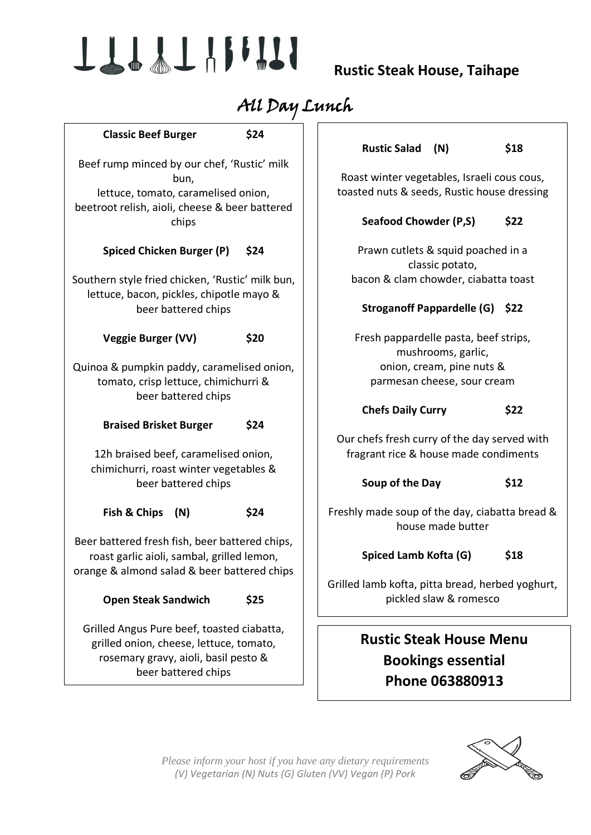# TTTTTHIII

 **Rustic Steak House, Taihape**

# All Day Lunch

| <b>Classic Beef Burger</b>                                                                                                                           | \$24 | <b>Rustic Salad</b><br>(N)                                                 | \$18 |
|------------------------------------------------------------------------------------------------------------------------------------------------------|------|----------------------------------------------------------------------------|------|
| Beef rump minced by our chef, 'Rustic' milk                                                                                                          |      |                                                                            |      |
| bun,                                                                                                                                                 |      | Roast winter vegetables, Israeli cous cous,                                |      |
| lettuce, tomato, caramelised onion,<br>beetroot relish, aioli, cheese & beer battered                                                                |      | toasted nuts & seeds, Rustic house dressing                                |      |
| chips                                                                                                                                                |      | <b>Seafood Chowder (P,S)</b>                                               | \$22 |
| <b>Spiced Chicken Burger (P)</b><br>\$24                                                                                                             |      | Prawn cutlets & squid poached in a<br>classic potato,                      |      |
| Southern style fried chicken, 'Rustic' milk bun,<br>lettuce, bacon, pickles, chipotle mayo &                                                         |      | bacon & clam chowder, ciabatta toast                                       |      |
| beer battered chips                                                                                                                                  |      | Stroganoff Pappardelle (G) \$22                                            |      |
| <b>Veggie Burger (VV)</b>                                                                                                                            | \$20 | Fresh pappardelle pasta, beef strips,<br>mushrooms, garlic,                |      |
| Quinoa & pumpkin paddy, caramelised onion,<br>tomato, crisp lettuce, chimichurri &<br>beer battered chips                                            |      | onion, cream, pine nuts &                                                  |      |
|                                                                                                                                                      |      | parmesan cheese, sour cream                                                |      |
| <b>Braised Brisket Burger</b>                                                                                                                        | \$24 | <b>Chefs Daily Curry</b>                                                   | \$22 |
|                                                                                                                                                      |      | Our chefs fresh curry of the day served with                               |      |
| 12h braised beef, caramelised onion,<br>chimichurri, roast winter vegetables &<br>beer battered chips                                                |      | fragrant rice & house made condiments                                      |      |
|                                                                                                                                                      |      | Soup of the Day                                                            | \$12 |
| Fish & Chips<br>(N)                                                                                                                                  | \$24 | Freshly made soup of the day, ciabatta bread &<br>house made butter        |      |
| Beer battered fresh fish, beer battered chips,                                                                                                       |      |                                                                            |      |
| roast garlic aioli, sambal, grilled lemon,                                                                                                           |      | Spiced Lamb Kofta (G)                                                      | \$18 |
| orange & almond salad & beer battered chips                                                                                                          |      |                                                                            |      |
| <b>Open Steak Sandwich</b>                                                                                                                           | \$25 | Grilled lamb kofta, pitta bread, herbed yoghurt,<br>pickled slaw & romesco |      |
| Grilled Angus Pure beef, toasted ciabatta,<br>grilled onion, cheese, lettuce, tomato,<br>rosemary gravy, aioli, basil pesto &<br>beer battered chips |      | <b>Rustic Steak House Menu</b>                                             |      |
|                                                                                                                                                      |      | <b>Bookings essential</b>                                                  |      |
|                                                                                                                                                      |      |                                                                            |      |



*Please inform your host if you have any dietary requirements (V) Vegetarian (N) Nuts (G) Gluten (VV) Vegan (P) Pork*